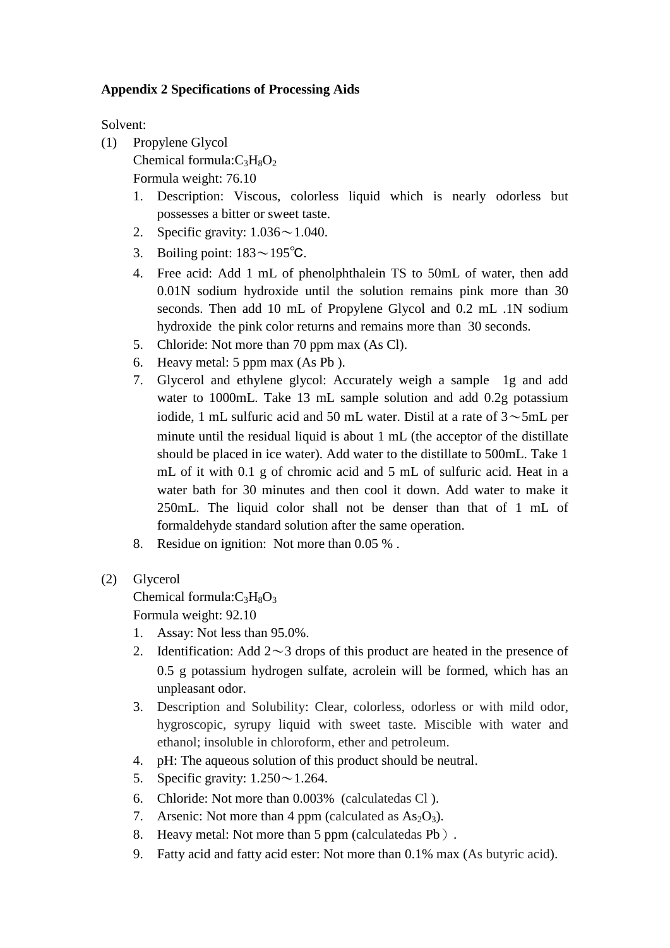## **Appendix 2 Specifications of Processing Aids**

Solvent:

- (1) Propylene Glycol
	- Chemical formula: $C_3H_8O_2$ 
		- Formula weight: 76.10
		- 1. Description: Viscous, colorless liquid which is nearly odorless but possesses a bitter or sweet taste.
		- 2. Specific gravity:  $1.036 \sim 1.040$ .
		- 3. Boiling point: 183~195℃.
		- 4. Free acid: Add 1 mL of phenolphthalein TS to 50mL of water, then add 0.01N sodium hydroxide until the solution remains pink more than 30 seconds. Then add 10 mL of Propylene Glycol and 0.2 mL .1N sodium hydroxide the pink color returns and remains more than 30 seconds.
		- 5. Chloride: Not more than 70 ppm max (As Cl).
		- 6. Heavy metal: 5 ppm max (As Pb ).
		- 7. Glycerol and ethylene glycol: Accurately weigh a sample 1g and add water to 1000mL. Take 13 mL sample solution and add 0.2g potassium iodide, 1 mL sulfuric acid and 50 mL water. Distil at a rate of  $3~>5$ mL per minute until the residual liquid is about 1 mL (the acceptor of the distillate should be placed in ice water). Add water to the distillate to 500mL. Take 1 mL of it with 0.1 g of chromic acid and 5 mL of sulfuric acid. Heat in a water bath for 30 minutes and then cool it down. Add water to make it 250mL. The liquid color shall not be denser than that of 1 mL of formaldehyde standard solution after the same operation.
		- 8. Residue on ignition: Not more than 0.05 % .
- (2) Glycerol

Chemical formula: $C_3H_8O_3$ 

Formula weight: 92.10

- 1. Assay: Not less than 95.0%.
- 2. Identification: Add  $2 \sim 3$  drops of this product are heated in the presence of 0.5 g potassium hydrogen sulfate, acrolein will be formed, which has an unpleasant odor.
- 3. Description and Solubility: Clear, colorless, odorless or with mild odor, hygroscopic, syrupy liquid with sweet taste. Miscible with water and ethanol; insoluble in chloroform, ether and petroleum.
- 4. pH: The aqueous solution of this product should be neutral.
- 5. Specific gravity:  $1.250 \sim 1.264$ .
- 6. Chloride: Not more than 0.003% (calculatedas Cl ).
- 7. Arsenic: Not more than 4 ppm (calculated as  $As_2O_3$ ).
- 8. Heavy metal: Not more than 5 ppm (calculatedas Pb).
- 9. Fatty acid and fatty acid ester: Not more than 0.1% max (As butyric acid).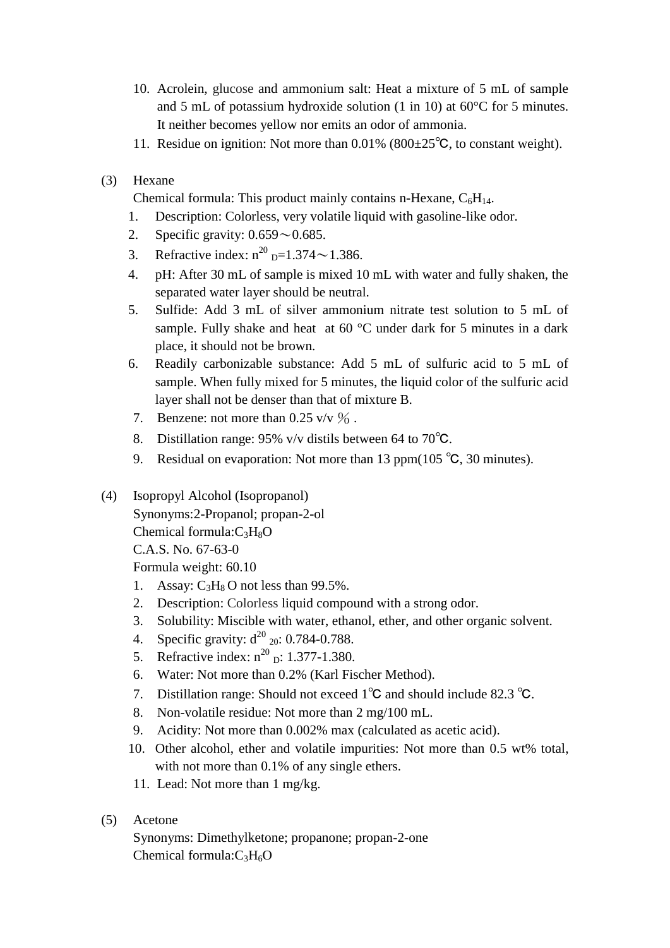- 10. Acrolein, glucose and ammonium salt: Heat a mixture of 5 mL of sample and 5 mL of potassium hydroxide solution (1 in 10) at 60°C for 5 minutes. It neither becomes yellow nor emits an odor of ammonia.
- 11. Residue on ignition: Not more than  $0.01\%$  ( $800\pm25\degree$ C, to constant weight).
- (3) Hexane

Chemical formula: This product mainly contains n-Hexane,  $C_6H_{14}$ .

- 1. Description: Colorless, very volatile liquid with gasoline-like odor.
- 2. Specific gravity:  $0.659 \sim 0.685$ .
- 3. Refractive index:  $n^{20}$   $_{D} = 1.374 \sim 1.386$ .
- 4. pH: After 30 mL of sample is mixed 10 mL with water and fully shaken, the separated water layer should be neutral.
- 5. Sulfide: Add 3 mL of silver ammonium nitrate test solution to 5 mL of sample. Fully shake and heat at 60 °C under dark for 5 minutes in a dark place, it should not be brown.
- 6. Readily carbonizable substance: Add 5 mL of sulfuric acid to 5 mL of sample. When fully mixed for 5 minutes, the liquid color of the sulfuric acid layer shall not be denser than that of mixture B.
- 7. Benzene: not more than  $0.25 \text{ v/v } \%$ .
- 8. Distillation range: 95% v/v distils between 64 to 70℃.
- 9. Residual on evaporation: Not more than 13 ppm( $105^{\circ}$ C, 30 minutes).
- (4) Isopropyl Alcohol (Isopropanol) Synonyms:2-Propanol; propan-2-ol Chemical formula: $C_3H_8O$ C.A.S. No. 67-63-0
	- Formula weight: 60.10
	- 1. Assay:  $C_3H_8O$  not less than 99.5%.
	- 2. Description: Colorless liquid compound with a strong odor.
	- 3. Solubility: Miscible with water, ethanol, [ether,](https://en.wikipedia.org/wiki/Ether) and other organic solvent.
	- 4. Specific gravity:  $d^{20}$  <sub>20</sub>: 0.784-0.788.
	- 5. Refractive index:  $n^{20}$  <sub>D</sub>: 1.377-1.380.
	- 6. Water: Not more than 0.2% (Karl Fischer Method).
	- 7. Distillation range: Should not exceed 1℃ and should include 82.3 ℃.
	- 8. Non-volatile residue: Not more than 2 mg/100 mL.
	- 9. Acidity: Not more than 0.002% max (calculated as acetic acid).
	- 10. Other alcohol, ether and volatile impurities: Not more than 0.5 wt% total, with not more than 0.1% of any single ethers.
	- 11. Lead: Not more than 1 mg/kg.
- (5) Acetone

Synonyms: Dimethylketone; propanone; propan-2-one Chemical formula: $C_3H_6O$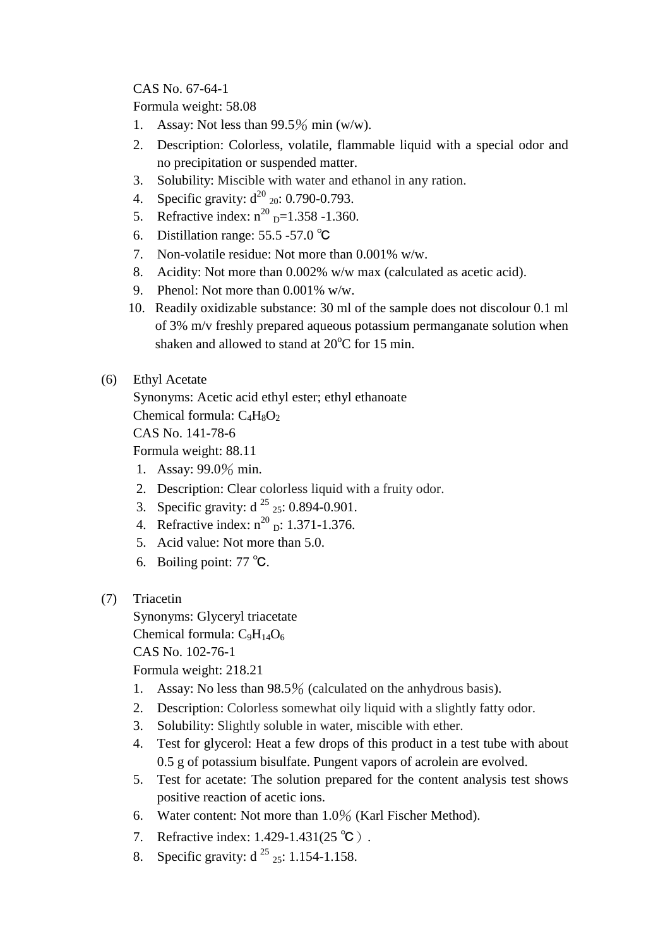CAS No. 67-64-1

Formula weight: 58.08

- 1. Assay: Not less than  $99.5\%$  min (w/w).
- 2. Description: Colorless, volatile, flammable liquid with a special odor and no precipitation or suspended matter.
- 3. Solubility: Miscible with water and ethanol in any ration.
- 4. Specific gravity:  $d^{20}$  <sub>20</sub>: 0.790-0.793.
- 5. Refractive index:  $n^{20}$  <sub>D</sub>=1.358 -1.360.
- 6. Distillation range: 55.5 -57.0 ℃
- 7. Non-volatile residue: Not more than 0.001% w/w.
- 8. Acidity: Not more than 0.002% w/w max (calculated as acetic acid).
- 9. Phenol: Not more than 0.001% w/w.
- 10. Readily oxidizable substance: 30 ml of the sample does not discolour 0.1 ml of 3% m/v freshly prepared aqueous potassium permanganate solution when shaken and allowed to stand at  $20^{\circ}$ C for 15 min.
- (6) Ethyl Acetate
	- Synonyms: Acetic acid ethyl ester; ethyl ethanoate Chemical formula:  $C_4H_8O_2$ CAS No. 141-78-6 Formula weight: 88.11
	- 1. Assay: 99.0% min.
	- 2. Description: Clear colorless liquid with a fruity odor.
	- 3. Specific gravity:  $d^{25}$  <sub>25</sub>: 0.894-0.901.
	- 4. Refractive index:  $n^{20}$  <sub>D</sub>: 1.371-1.376.
	- 5. Acid value: Not more than 5.0.
	- 6. Boiling point: 77 ℃.
- (7) Triacetin

Synonyms: Glyceryl triacetate Chemical formula:  $C_9H_{14}O_6$ CAS No. 102-76-1

Formula weight: 218.21

- 1. Assay: No less than 98.5% (calculated on the anhydrous basis).
- 2. Description: Colorless somewhat oily liquid with a slightly fatty odor.
- 3. Solubility: Slightly soluble in water, miscible with ether.
- 4. Test for glycerol: Heat a few drops of this product in a test tube with about 0.5 g of potassium bisulfate. Pungent vapors of acrolein are evolved.
- 5. Test for acetate: The solution prepared for the content analysis test shows positive reaction of acetic ions.
- 6. Water content: Not more than 1.0% (Karl Fischer Method).
- 7. Refractive index: 1.429-1.431(25 ℃).
- 8. Specific gravity:  $d^{25}$  25: 1.154-1.158.